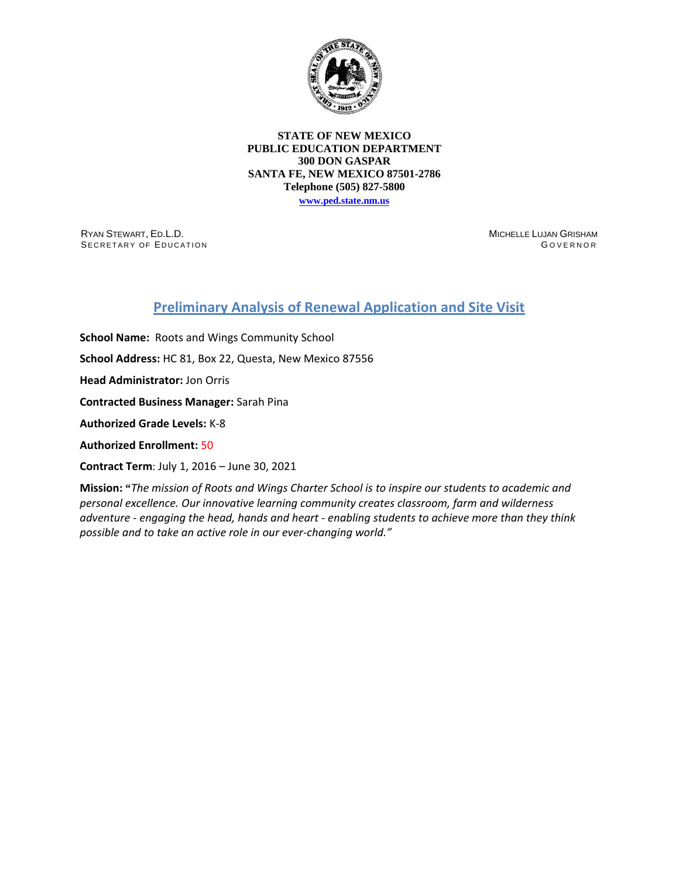

**STATE OF NEW MEXICO PUBLIC EDUCATION DEPARTMENT 300 DON GASPAR SANTA FE, NEW MEXICO 87501-2786 Telephone (505) 827-5800**

**[www.ped.state.nm.us](http://webnew.ped.state.nm.us/)**

RYAN STEWART, ED.L.D. SECRETARY OF EDUCATION MICHELLE LUJAN GRISHAM G OVERNOR

## **Preliminary Analysis of Renewal Application and Site Visit**

**School Name:** Roots and Wings Community School **School Address:** HC 81, Box 22, Questa, New Mexico 87556 **Head Administrator:** Jon Orris **Contracted Business Manager:** Sarah Pina **Authorized Grade Levels:** K-8 **Authorized Enrollment:** 50 **Contract Term**: July 1, 2016 – June 30, 2021

**Mission: "***The mission of Roots and Wings Charter School is to inspire our students to academic and personal excellence. Our innovative learning community creates classroom, farm and wilderness adventure - engaging the head, hands and heart - enabling students to achieve more than they think possible and to take an active role in our ever-changing world."*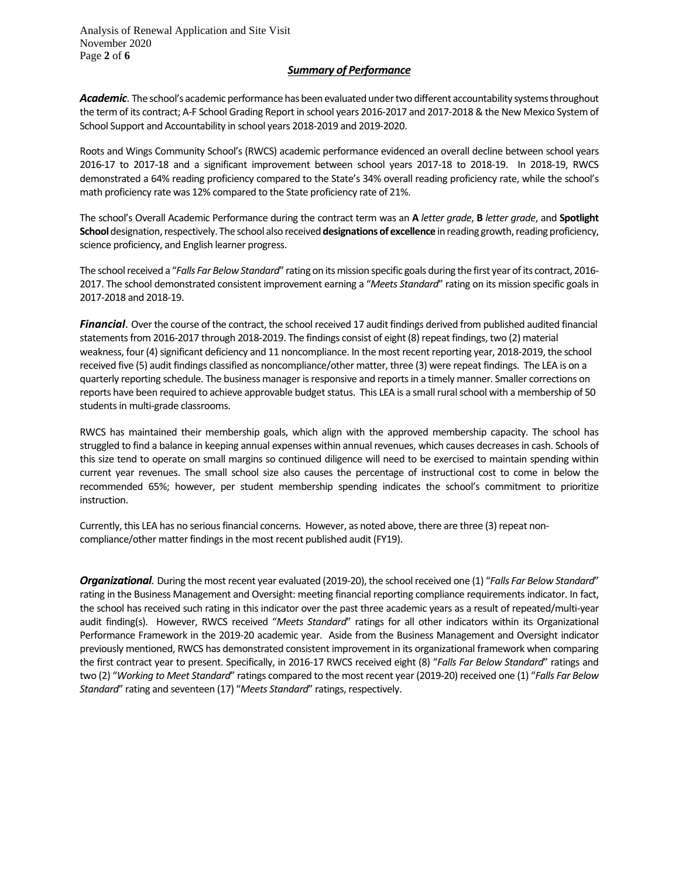Analysis of Renewal Application and Site Visit November 2020 Page **2** of **6**

## *Summary of Performance*

Academic. The school's academic performance has been evaluated under two different accountability systems throughout the term of its contract; A-F School Grading Report in school years 2016-2017 and 2017-2018 & the New Mexico System of School Support and Accountability in school years 2018-2019 and 2019-2020.

Roots and Wings Community School's (RWCS) academic performance evidenced an overall decline between school years 2016-17 to 2017-18 and a significant improvement between school years 2017-18 to 2018-19. In 2018-19, RWCS demonstrated a 64% reading proficiency compared to the State's 34% overall reading proficiency rate, while the school's math proficiency rate was 12% compared to the State proficiency rate of 21%.

The school's Overall Academic Performance during the contract term was an **A** *letter grade*, **B** *letter grade*, and **Spotlight School** designation, respectively. The school also received**designations of excellence** in reading growth, reading proficiency, science proficiency, and English learner progress.

The school received a "*Falls Far Below Standard*" rating on its mission specific goals during the first year of its contract, 2016- 2017. The school demonstrated consistent improvement earning a "*Meets Standard*" rating on its mission specific goals in 2017-2018 and 2018-19.

*Financial*. Over the course of the contract, the school received 17 audit findings derived from published audited financial statements from 2016-2017 through 2018-2019. The findings consist of eight (8) repeat findings, two (2) material weakness, four (4) significant deficiency and 11 noncompliance. In the most recent reporting year, 2018-2019, the school received five (5) audit findings classified as noncompliance/other matter, three (3) were repeat findings. The LEA is on a quarterly reporting schedule. The business manager is responsive and reports in a timely manner. Smaller corrections on reports have been required to achieve approvable budget status. This LEA is a small rural school with a membership of 50 students in multi-grade classrooms.

RWCS has maintained their membership goals, which align with the approved membership capacity. The school has struggled to find a balance in keeping annual expenses within annual revenues, which causes decreases in cash. Schools of this size tend to operate on small margins so continued diligence will need to be exercised to maintain spending within current year revenues. The small school size also causes the percentage of instructional cost to come in below the recommended 65%; however, per student membership spending indicates the school's commitment to prioritize instruction.

Currently, this LEA has no serious financial concerns. However, as noted above, there are three (3) repeat noncompliance/other matter findings in the most recent published audit (FY19).

*Organizational.* During the most recent year evaluated (2019-20), the school received one (1) "*Falls Far Below Standard*" rating in the Business Management and Oversight: meeting financial reporting compliance requirements indicator. In fact, the school has received such rating in this indicator over the past three academic years as a result of repeated/multi-year audit finding(s). However, RWCS received "*Meets Standard*" ratings for all other indicators within its Organizational Performance Framework in the 2019-20 academic year. Aside from the Business Management and Oversight indicator previously mentioned, RWCS has demonstrated consistent improvement in its organizational framework when comparing the first contract year to present. Specifically, in 2016-17 RWCS received eight (8) "*Falls Far Below Standard*" ratings and two (2) "*Working to Meet Standard*" ratings compared to the most recent year (2019-20) received one (1) "*Falls Far Below Standard*" rating and seventeen (17) "*Meets Standard*" ratings, respectively.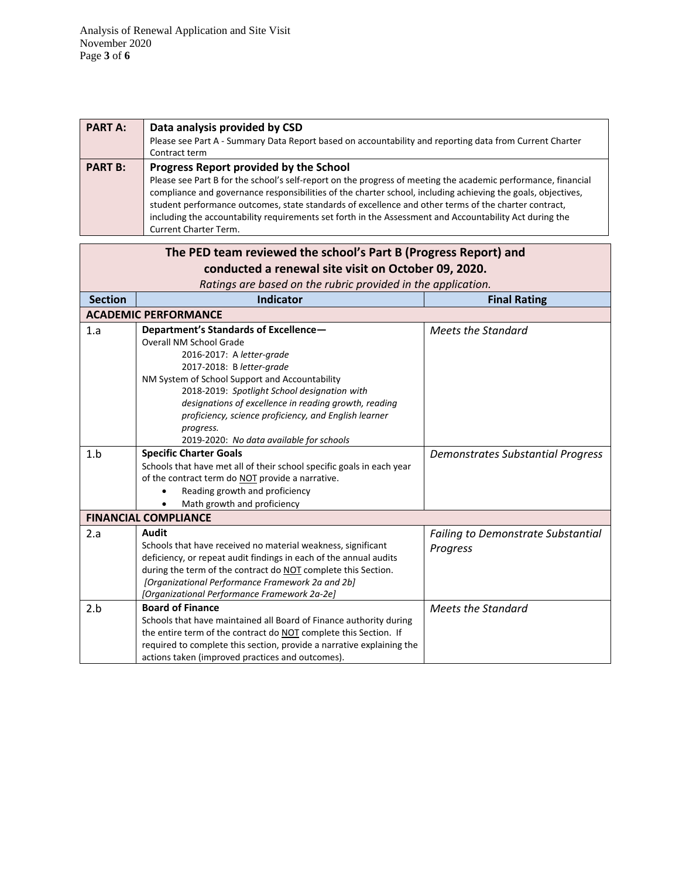Analysis of Renewal Application and Site Visit November 2020 Page **3** of **6**

| <b>PART A:</b> | Data analysis provided by CSD<br>Please see Part A - Summary Data Report based on accountability and reporting data from Current Charter<br>Contract term                                                                                                                                                                                                                                                                                                                                                                  |
|----------------|----------------------------------------------------------------------------------------------------------------------------------------------------------------------------------------------------------------------------------------------------------------------------------------------------------------------------------------------------------------------------------------------------------------------------------------------------------------------------------------------------------------------------|
| <b>PART B:</b> | Progress Report provided by the School<br>Please see Part B for the school's self-report on the progress of meeting the academic performance, financial<br>compliance and governance responsibilities of the charter school, including achieving the goals, objectives,<br>student performance outcomes, state standards of excellence and other terms of the charter contract,<br>including the accountability requirements set forth in the Assessment and Accountability Act during the<br><b>Current Charter Term.</b> |

| The PED team reviewed the school's Part B (Progress Report) and |                                                                       |                                           |  |  |
|-----------------------------------------------------------------|-----------------------------------------------------------------------|-------------------------------------------|--|--|
| conducted a renewal site visit on October 09, 2020.             |                                                                       |                                           |  |  |
| Ratings are based on the rubric provided in the application.    |                                                                       |                                           |  |  |
| <b>Section</b>                                                  | <b>Indicator</b>                                                      | <b>Final Rating</b>                       |  |  |
|                                                                 | <b>ACADEMIC PERFORMANCE</b>                                           |                                           |  |  |
| 1.a                                                             | Department's Standards of Excellence-                                 | <b>Meets the Standard</b>                 |  |  |
|                                                                 | Overall NM School Grade                                               |                                           |  |  |
|                                                                 | 2016-2017: A letter-grade                                             |                                           |  |  |
|                                                                 | 2017-2018: B letter-grade                                             |                                           |  |  |
|                                                                 | NM System of School Support and Accountability                        |                                           |  |  |
|                                                                 | 2018-2019: Spotlight School designation with                          |                                           |  |  |
|                                                                 | designations of excellence in reading growth, reading                 |                                           |  |  |
|                                                                 | proficiency, science proficiency, and English learner                 |                                           |  |  |
|                                                                 | progress.                                                             |                                           |  |  |
|                                                                 | 2019-2020: No data available for schools                              |                                           |  |  |
| 1.b                                                             | <b>Specific Charter Goals</b>                                         | <b>Demonstrates Substantial Progress</b>  |  |  |
|                                                                 | Schools that have met all of their school specific goals in each year |                                           |  |  |
|                                                                 | of the contract term do NOT provide a narrative.                      |                                           |  |  |
|                                                                 | Reading growth and proficiency                                        |                                           |  |  |
|                                                                 | Math growth and proficiency                                           |                                           |  |  |
|                                                                 | <b>FINANCIAL COMPLIANCE</b>                                           |                                           |  |  |
| 2.a                                                             | Audit                                                                 | <b>Failing to Demonstrate Substantial</b> |  |  |
|                                                                 | Schools that have received no material weakness, significant          | Progress                                  |  |  |
|                                                                 | deficiency, or repeat audit findings in each of the annual audits     |                                           |  |  |
|                                                                 | during the term of the contract do NOT complete this Section.         |                                           |  |  |
|                                                                 | [Organizational Performance Framework 2a and 2b]                      |                                           |  |  |
|                                                                 | [Organizational Performance Framework 2a-2e]                          |                                           |  |  |
| 2.b                                                             | <b>Board of Finance</b>                                               | <b>Meets the Standard</b>                 |  |  |
|                                                                 | Schools that have maintained all Board of Finance authority during    |                                           |  |  |
|                                                                 | the entire term of the contract do NOT complete this Section. If      |                                           |  |  |
|                                                                 | required to complete this section, provide a narrative explaining the |                                           |  |  |
|                                                                 | actions taken (improved practices and outcomes).                      |                                           |  |  |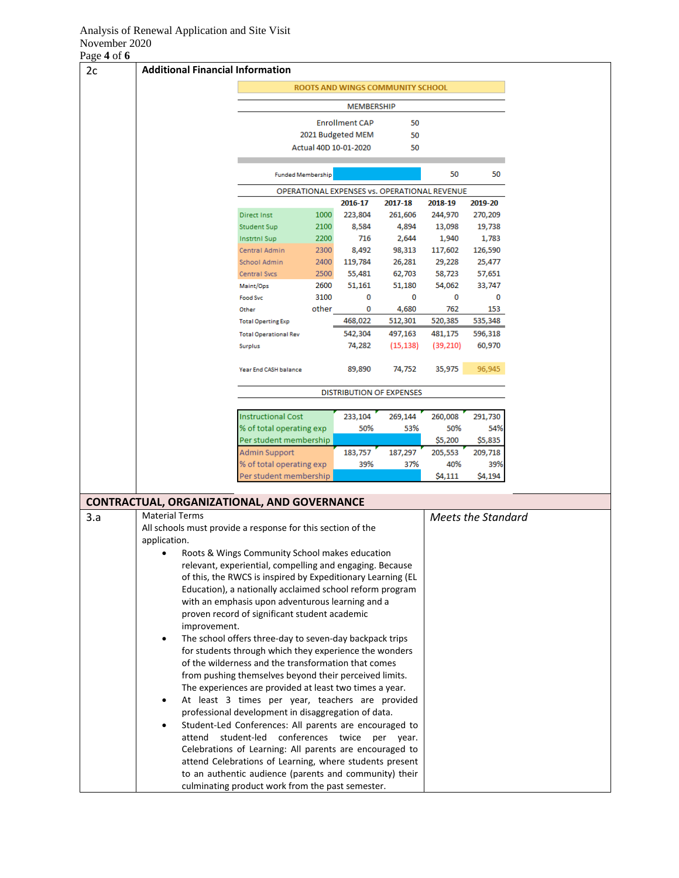## Analysis of Renewal Application and Site Visit November 2020

Page **4** of **6**

| $1450 + 010$ |                                                                                                              |                                                                                                             |              |                                              |                  |                  |                    |  |
|--------------|--------------------------------------------------------------------------------------------------------------|-------------------------------------------------------------------------------------------------------------|--------------|----------------------------------------------|------------------|------------------|--------------------|--|
| 2c           | <b>Additional Financial Information</b>                                                                      |                                                                                                             |              |                                              |                  |                  |                    |  |
|              |                                                                                                              |                                                                                                             |              | ROOTS AND WINGS COMMUNITY SCHOOL             |                  |                  |                    |  |
|              |                                                                                                              |                                                                                                             |              | <b>MEMBERSHIP</b><br><b>Enrollment CAP</b>   | 50               |                  |                    |  |
|              |                                                                                                              |                                                                                                             |              | 2021 Budgeted MEM                            | 50               |                  |                    |  |
|              |                                                                                                              |                                                                                                             |              | Actual 40D 10-01-2020                        | 50               |                  |                    |  |
|              |                                                                                                              | <b>Funded Membership</b>                                                                                    |              |                                              |                  | 50               | 50                 |  |
|              |                                                                                                              |                                                                                                             |              | OPERATIONAL EXPENSES vs. OPERATIONAL REVENUE |                  |                  |                    |  |
|              |                                                                                                              |                                                                                                             |              | 2016-17                                      | 2017-18          | 2018-19          | 2019-20            |  |
|              |                                                                                                              | <b>Direct Inst</b>                                                                                          | 1000         | 223,804                                      | 261,606          | 244,970          | 270,209            |  |
|              |                                                                                                              | <b>Student Sup</b>                                                                                          | 2100         | 8,584                                        | 4,894            | 13,098           | 19,738             |  |
|              |                                                                                                              | <b>Instrtnl Sup</b>                                                                                         | 2200         | 716                                          | 2,644            | 1,940            | 1,783              |  |
|              |                                                                                                              | Central Admin                                                                                               | 2300         | 8,492                                        | 98,313           | 117,602          | 126,590            |  |
|              |                                                                                                              | School Admin<br>Central Svcs                                                                                | 2400<br>2500 | 119,784<br>55,481                            | 26,281<br>62,703 | 29,228<br>58,723 | 25,477<br>57,651   |  |
|              |                                                                                                              | Maint/Ops                                                                                                   | 2600         | 51,161                                       | 51,180           | 54,062           | 33,747             |  |
|              |                                                                                                              | <b>Food Svc</b>                                                                                             | 3100         | 0                                            | 0                | 0                | 0                  |  |
|              |                                                                                                              | Other                                                                                                       | other        | 0                                            | 4,680            | 762              | 153                |  |
|              |                                                                                                              | <b>Total Operting Exp</b>                                                                                   |              | 468,022                                      | 512,301          | 520,385          | 535,348            |  |
|              |                                                                                                              | <b>Total Operational Rev</b>                                                                                |              | 542,304                                      | 497,163          | 481,175          | 596,318            |  |
|              |                                                                                                              | Surplus                                                                                                     |              | 74,282                                       | (15, 138)        | (39, 210)        | 60,970             |  |
|              |                                                                                                              | Year End CASH balance                                                                                       |              | 89,890                                       | 74,752           | 35,975           | 96,945             |  |
|              |                                                                                                              |                                                                                                             |              | <b>DISTRIBUTION OF EXPENSES</b>              |                  |                  |                    |  |
|              |                                                                                                              |                                                                                                             |              |                                              |                  |                  |                    |  |
|              |                                                                                                              | <b>Instructional Cost</b>                                                                                   |              | 233,104                                      | 269,144          | 260,008          | 291,730            |  |
|              |                                                                                                              | % of total operating exp<br>Per student membership                                                          |              | 50%                                          | 53%              | 50%<br>\$5,200   | 54%<br>\$5,835     |  |
|              |                                                                                                              | Admin Support                                                                                               |              | 183,757                                      | 187,297          | 205,553          | 209,718            |  |
|              |                                                                                                              | % of total operating exp                                                                                    |              | 39%                                          | 37%              | 40%              | 39%                |  |
|              |                                                                                                              | Per student membership                                                                                      |              |                                              |                  | \$4,111          | \$4,194            |  |
|              | <b>CONTRACTUAL, ORGANIZATIONAL, AND GOVERNANCE</b>                                                           |                                                                                                             |              |                                              |                  |                  |                    |  |
| 3.a          | <b>Material Terms</b>                                                                                        |                                                                                                             |              |                                              |                  |                  | Meets the Standard |  |
|              | All schools must provide a response for this section of the                                                  |                                                                                                             |              |                                              |                  |                  |                    |  |
|              | application.                                                                                                 |                                                                                                             |              |                                              |                  |                  |                    |  |
|              |                                                                                                              | Roots & Wings Community School makes education                                                              |              |                                              |                  |                  |                    |  |
|              |                                                                                                              | relevant, experiential, compelling and engaging. Because                                                    |              |                                              |                  |                  |                    |  |
|              | of this, the RWCS is inspired by Expeditionary Learning (EL                                                  |                                                                                                             |              |                                              |                  |                  |                    |  |
|              | Education), a nationally acclaimed school reform program<br>with an emphasis upon adventurous learning and a |                                                                                                             |              |                                              |                  |                  |                    |  |
|              |                                                                                                              | proven record of significant student academic                                                               |              |                                              |                  |                  |                    |  |
|              | improvement.                                                                                                 |                                                                                                             |              |                                              |                  |                  |                    |  |
|              |                                                                                                              | The school offers three-day to seven-day backpack trips                                                     |              |                                              |                  |                  |                    |  |
|              |                                                                                                              | for students through which they experience the wonders                                                      |              |                                              |                  |                  |                    |  |
|              |                                                                                                              | of the wilderness and the transformation that comes                                                         |              |                                              |                  |                  |                    |  |
|              |                                                                                                              | from pushing themselves beyond their perceived limits.                                                      |              |                                              |                  |                  |                    |  |
|              |                                                                                                              | The experiences are provided at least two times a year.<br>At least 3 times per year, teachers are provided |              |                                              |                  |                  |                    |  |
|              |                                                                                                              | professional development in disaggregation of data.                                                         |              |                                              |                  |                  |                    |  |
|              |                                                                                                              | Student-Led Conferences: All parents are encouraged to                                                      |              |                                              |                  |                  |                    |  |
|              | attend                                                                                                       | student-led conferences twice per year.                                                                     |              |                                              |                  |                  |                    |  |
|              |                                                                                                              | Celebrations of Learning: All parents are encouraged to                                                     |              |                                              |                  |                  |                    |  |
|              |                                                                                                              | attend Celebrations of Learning, where students present                                                     |              |                                              |                  |                  |                    |  |
|              |                                                                                                              | to an authentic audience (parents and community) their<br>culminating product work from the past semester.  |              |                                              |                  |                  |                    |  |
|              |                                                                                                              |                                                                                                             |              |                                              |                  |                  |                    |  |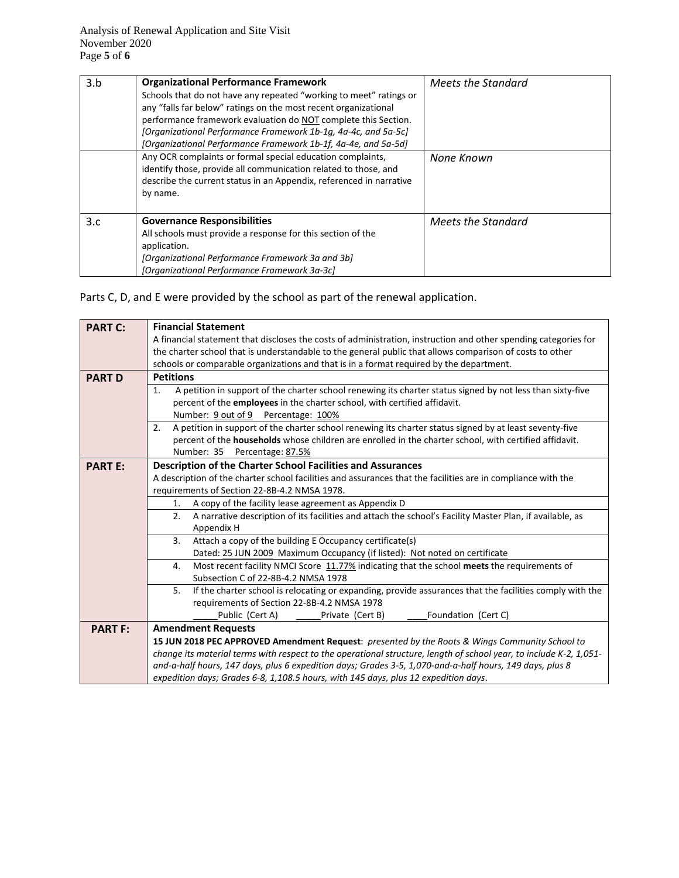| 3.b | <b>Organizational Performance Framework</b><br>Schools that do not have any repeated "working to meet" ratings or<br>any "falls far below" ratings on the most recent organizational<br>performance framework evaluation do NOT complete this Section.<br>[Organizational Performance Framework 1b-1g, 4a-4c, and 5a-5c]<br>[Organizational Performance Framework 1b-1f, 4a-4e, and 5a-5d] | Meets the Standard |
|-----|--------------------------------------------------------------------------------------------------------------------------------------------------------------------------------------------------------------------------------------------------------------------------------------------------------------------------------------------------------------------------------------------|--------------------|
|     | Any OCR complaints or formal special education complaints,<br>identify those, provide all communication related to those, and<br>describe the current status in an Appendix, referenced in narrative<br>by name.                                                                                                                                                                           | None Known         |
| 3.c | <b>Governance Responsibilities</b><br>All schools must provide a response for this section of the<br>application.<br>[Organizational Performance Framework 3a and 3b]<br>[Organizational Performance Framework 3a-3c]                                                                                                                                                                      | Meets the Standard |

Parts C, D, and E were provided by the school as part of the renewal application.

| <b>PART C:</b> | <b>Financial Statement</b>                                                                                         |  |  |  |  |  |
|----------------|--------------------------------------------------------------------------------------------------------------------|--|--|--|--|--|
|                | A financial statement that discloses the costs of administration, instruction and other spending categories for    |  |  |  |  |  |
|                | the charter school that is understandable to the general public that allows comparison of costs to other           |  |  |  |  |  |
|                | schools or comparable organizations and that is in a format required by the department.                            |  |  |  |  |  |
| <b>PART D</b>  | <b>Petitions</b>                                                                                                   |  |  |  |  |  |
|                | A petition in support of the charter school renewing its charter status signed by not less than sixty-five<br>1.   |  |  |  |  |  |
|                | percent of the employees in the charter school, with certified affidavit.                                          |  |  |  |  |  |
|                | Number: 9 out of 9 Percentage: 100%                                                                                |  |  |  |  |  |
|                | A petition in support of the charter school renewing its charter status signed by at least seventy-five<br>2.      |  |  |  |  |  |
|                | percent of the households whose children are enrolled in the charter school, with certified affidavit.             |  |  |  |  |  |
|                | Number: 35<br>Percentage: 87.5%                                                                                    |  |  |  |  |  |
| <b>PART E:</b> | Description of the Charter School Facilities and Assurances                                                        |  |  |  |  |  |
|                | A description of the charter school facilities and assurances that the facilities are in compliance with the       |  |  |  |  |  |
|                | requirements of Section 22-8B-4.2 NMSA 1978.                                                                       |  |  |  |  |  |
|                | A copy of the facility lease agreement as Appendix D<br>1.                                                         |  |  |  |  |  |
|                | A narrative description of its facilities and attach the school's Facility Master Plan, if available, as<br>2.     |  |  |  |  |  |
|                | Appendix H                                                                                                         |  |  |  |  |  |
|                | Attach a copy of the building E Occupancy certificate(s)<br>3.                                                     |  |  |  |  |  |
|                | Dated: 25 JUN 2009 Maximum Occupancy (if listed): Not noted on certificate                                         |  |  |  |  |  |
|                | Most recent facility NMCI Score 11.77% indicating that the school meets the requirements of<br>4.                  |  |  |  |  |  |
|                | Subsection C of 22-8B-4.2 NMSA 1978                                                                                |  |  |  |  |  |
|                | 5.<br>If the charter school is relocating or expanding, provide assurances that the facilities comply with the     |  |  |  |  |  |
|                | requirements of Section 22-8B-4.2 NMSA 1978                                                                        |  |  |  |  |  |
|                | Foundation (Cert C)<br>Public (Cert A)<br>Private (Cert B)                                                         |  |  |  |  |  |
| <b>PART F:</b> | <b>Amendment Requests</b>                                                                                          |  |  |  |  |  |
|                | 15 JUN 2018 PEC APPROVED Amendment Request: presented by the Roots & Wings Community School to                     |  |  |  |  |  |
|                | change its material terms with respect to the operational structure, length of school year, to include K-2, 1,051- |  |  |  |  |  |
|                | and-a-half hours, 147 days, plus 6 expedition days; Grades 3-5, 1,070-and-a-half hours, 149 days, plus 8           |  |  |  |  |  |
|                | expedition days; Grades 6-8, 1,108.5 hours, with 145 days, plus 12 expedition days.                                |  |  |  |  |  |